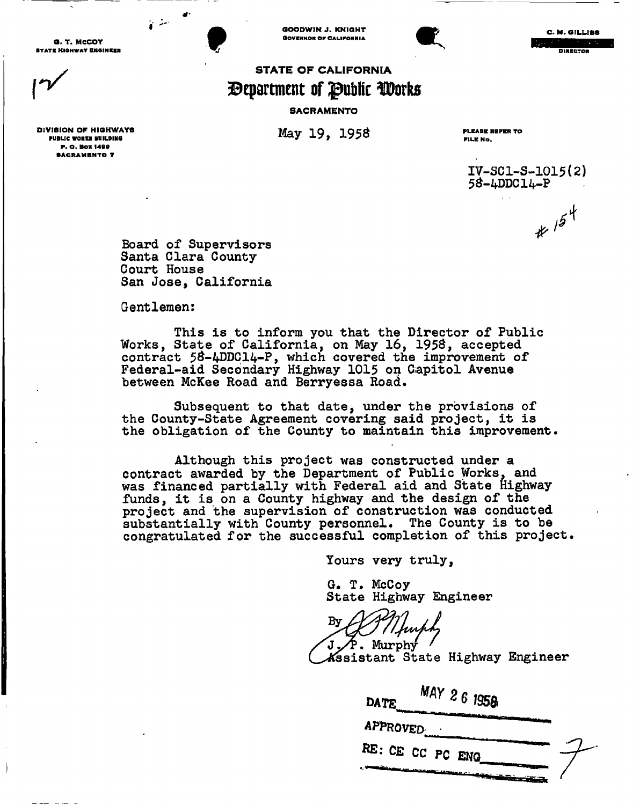O. T. MCCOY •TAT B HIGHWAY BNOINK <sup>M</sup>**t** 

DIVISION OF HIGHWAYS PUBLIC WORKS BUILDING P. O. BOX 1499 **SACRAMENTO 7** 

GOODWIN J. KNIGHT **GOVERNOR OF CALIFORNIA** 



C. M. GILLISS **DIEFOR** 

# **STATE OF CALIFORNIA department of public Work s**

### **SACRAMENTO**

**May 19, 1958** PLEASE REFER TO

FILE No.

**IV-SCl-S-1015(2) 5S-4DDC14-P**   $*154$ 

**Board of Supervisors Santa Clara County Court House San Jose, California** 

**Gentlemen:** 

**This is to inform you that the Director of Public Works, State of California, on May 16, 195S, accepted contract 5S-4DDC14-P, which covered the improvement of Federal-aid Secondary Highway 1015 on Capitol Avenue between McKee Road and Berryessa Road.** 

**Subsequent to that date, under the provisions of the County-State Agreement covering said project, it is the obligation of the County to maintain this improvement.** 

**Although this project was constructed under a contract awarded by the Department of Public Works, and was financed partially with Federal aid and State Highway funds, it is on a County highway and the design of the project and the supervision of construction was conducted substantially with County personnel. The County is to be congratulated for the successful completion of this project.** 

**Yours very truly,** 

**G. T. McCoy State Highway Engineer** 

**Zyr . Murphy /** 

**-Assistant State Highway Engineer** 

| DATE             | MAY 26 1958 |  |
|------------------|-------------|--|
| APPROVED         |             |  |
| RE: CE CC PC ENG |             |  |
|                  |             |  |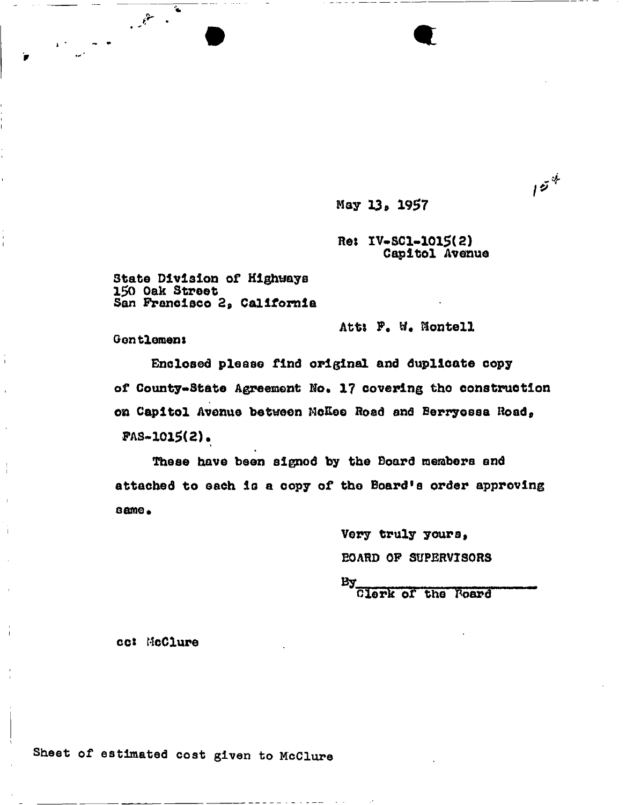May 13, 1957

Re: IV-SC1-1015(2) Capitol Avenue  $15^4$ 

State Division of Highways 150 Oak Street San Francisco 2, California

Att: F. W. Montell

Gentlemen:

 $\mathbb{R}$ 

Enclosed please find original and duplicate copy of County-State Agreement No. 17 covering the construction on Capitol Avenue between Nokee Road and Berryessa Road,  $PAS-1015(2)$ .

These have been signed by the Board members and attached to each is a copy of the Board's order approving  $same$ .

> Very truly yours, *EOARD OF SUPERVISORS*

BA.

Clark of the Poard

cc: McClure

Sheet of estimated cost given to McClure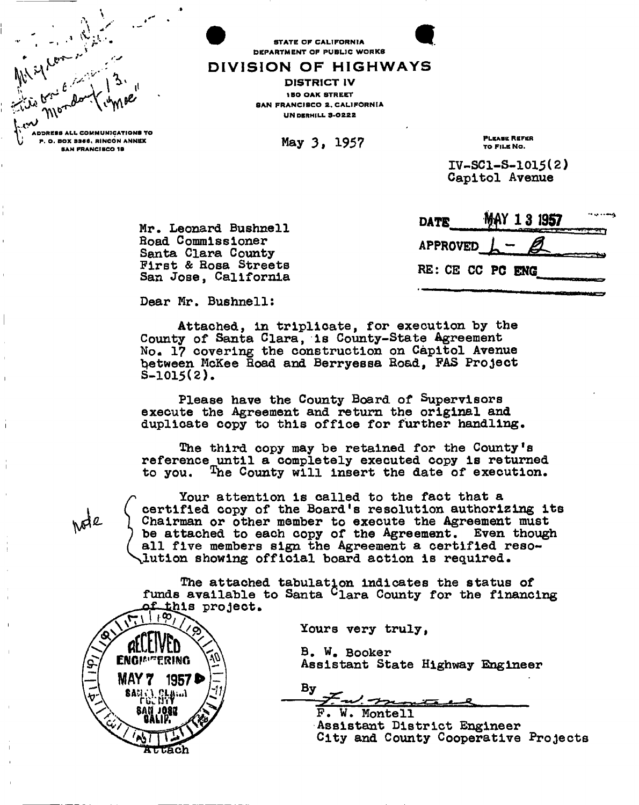

STATE OF CALIFORNIA DEPARTMENT OF PUBLIC WORKS

## DIVISION OF HIGHWAYS

DISTRICT IV **150 OAK STREET** SAN FRANCISCO 2, CALIFORNIA **UNDERHILL 3-0222** 

**May 3, 1957** PLEASE REFER

TO FILE NO.

**IV-SC1-S-1015(2) Capitol Avenue** 

| Mr. Leonard Bushnell                           | $MIB$ $MII$ $NII$ $NII$                |
|------------------------------------------------|----------------------------------------|
| <b>Road Commissioner</b><br>Santa Clara County | APPROVED $\mathcal{L}$ - $\mathcal{L}$ |
| First & Rosa Streets<br>San Jose, California   | RE: CE CC PC ENG                       |

| <b>DATE</b> | MAY 13 1957<br>.<br>والمتعاصد والمستقار والمستقرع والمنتقلة والمنافذ |
|-------------|----------------------------------------------------------------------|
|             | APPROVED $L - \mathcal{L}$                                           |
|             | RE: CE CC PC ENG                                                     |

**Dear Mr. Bushnell:** 

**Attached, in triplicate, for execution by the County of Santa Clara, is County-State Agreement No- 1? covering the construction on Capitol Avenue between McKee Hoad and Berryessa Road, FAS Project S-1015(2).** 

**Please have the County Board of Supervisors execute the Agreement and return the original and duplicate copy to this office for further handling.** 

**The third copy may be retained for the County's reference until a completely executed copy is returned to you. ^he County will insert the date of execution.** 

**p Your attention is called to the fact that a ( certified copy of the Board's resolution authorizing its ^ Chairman or other member to execute the Agreement must 1 be attached to each copy of the Agreement. Even though ( all five members sign the Agreement a certified reso- ^lutio n showing official board action is required.** 

The attached tabulation indicates the status of funds available to Santa <sup>C</sup>lara County for the financing **Lihis project.** 

**Yours very truly,** 

**B . W . Booker Assistant State Highway Engineer** 

 $\mathbf{B}\mathbf{y}$ <u>u/ Jy</u>

**F . W . Monte 11 Assistant District Engineer City and County Cooperative Projects** 

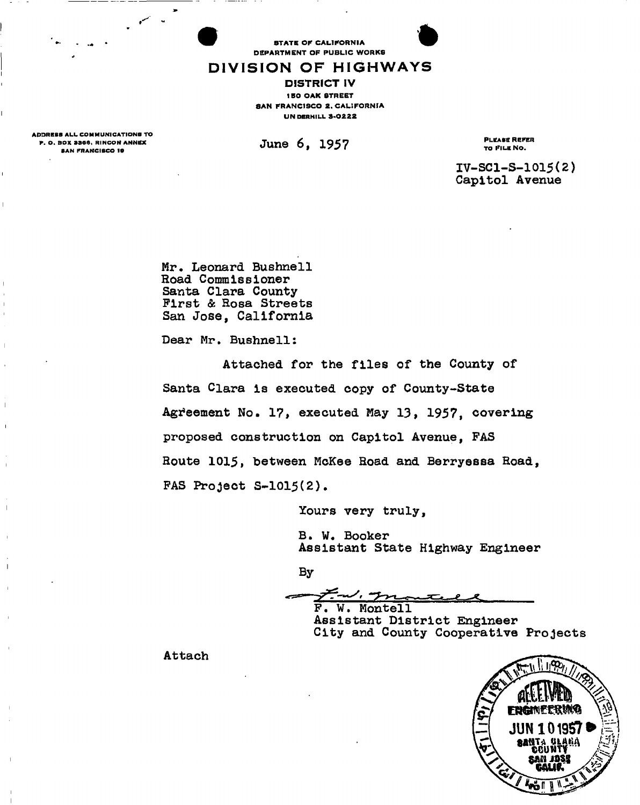**STATE OF CALIFORNIA** DEPARTMENT OF PUBLIC WORKS

## DIVISION OF HIGHWAYS

DISTRICT IV **150 OAK STREET** SAN FRANCISCO 2. CALIFORNIA UN DERHILL 3-0222

ADDREBB ALL COMMUNICATIONS TO P. O. BOX 9866, RINCON ANNEX BAN FRANCISCO 19

**June 6, 1957 PLEASE REFER** 

TO FILE NO.

**IV-SC1-S-1015(2) Capitol Avenue** 

**Mr. Leonard Bushnell Road Commissioner Santa Clara County First & Rosa Streets San Jose, California** 

**Dear Mr. Bushnell:** 

**Attached for the files of the County of Santa Clara Is executed copy of County-State Agreement No. 17, executed May 13, 1957, covering proposed construction on Capitol Avenue, FAS Route 1015, between McKee Road and Berryessa Road, FAS Project S~1015(2).** 

**Yours very truly,** 

**B . W. Booker Assistant State Highway Engineer** 

**By** 

**F . W . Montell** 

**Assistant District Engineer City and County Cooperative Projects** 

**Attach** 

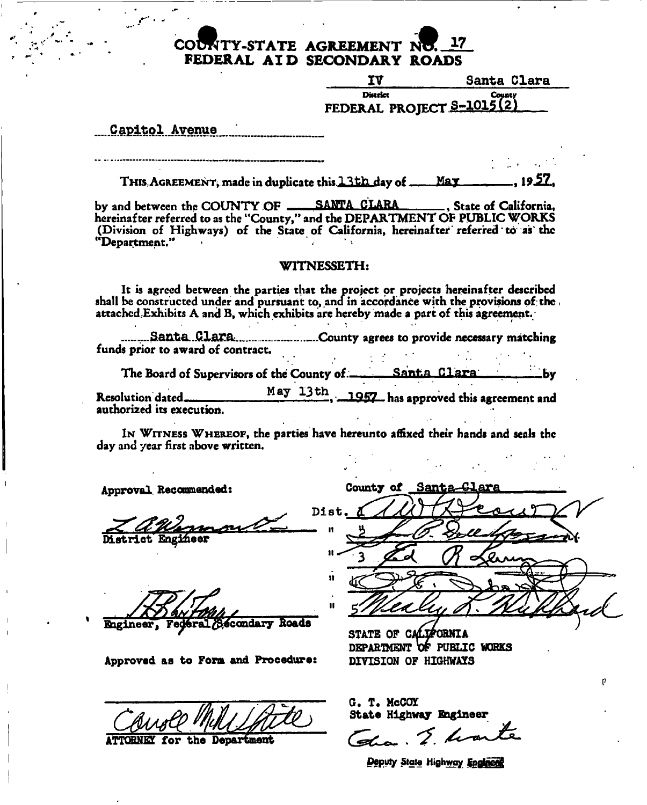# **COUNTY-STATE AGREEMENT NU. 17 FEDERAL AI D SECONDARY ROADS**

**IV Santa Clara District county** FEDERAL PROJECT S<del>-1012121</del> **Count)** 

**Capitol..Avenue** 

THIS, AGREEMENT, made in duplicate this 13th day of \_\_\_\_May . 19.57.

by and between the COUNTY OF **48 SANTA CLARA** 6. State of California, hereinafter referred to as the "County," and the DEPARTMENT OF PUBLIC WORKS (Division of Highways) of the State of California, hereinafter referred to as'the "Department."

### WITNESSETH:

It is agreed between the parties that the project or projects hereinafter described shall be constructed under and pursuant to, ana in accordance with the provisions of the attached Exhibits A and B, which exhibits are hereby made a part of this agreement.

.........Santa Clara.............................County agrees to provide necessary matching funds prior to award of contract.

The Board of Supervisors of the County of \_\_\_\_\_\_\_\_ Santa Clara \_\_\_\_\_\_\_\_\_\_\_by

Resolution dated <u>May 13th</u>, 1957 has approved this agreement and authorized its execution.

IN WITNESS WHEREOF, the parties have hereunto affixed their hands and seals the day and year first above written.

**Approval Recommended:** 

**District Engineer** 

**Icondary Roads**  Engineer.

**Approved as to Form and Procedure: DIVISION OF HIGHWAYS** 

for the Department

**County of Santa** Dist n  $\mathbf{r}$ Ħ  $\mathbf{H}$ 

STATE OF CALIFORNIA DEPARTMENT OF PUBLIC WORKS

**G. T. McCOY State Highway Bigineer** 

2 hours

*Deputy State Highway Enginees*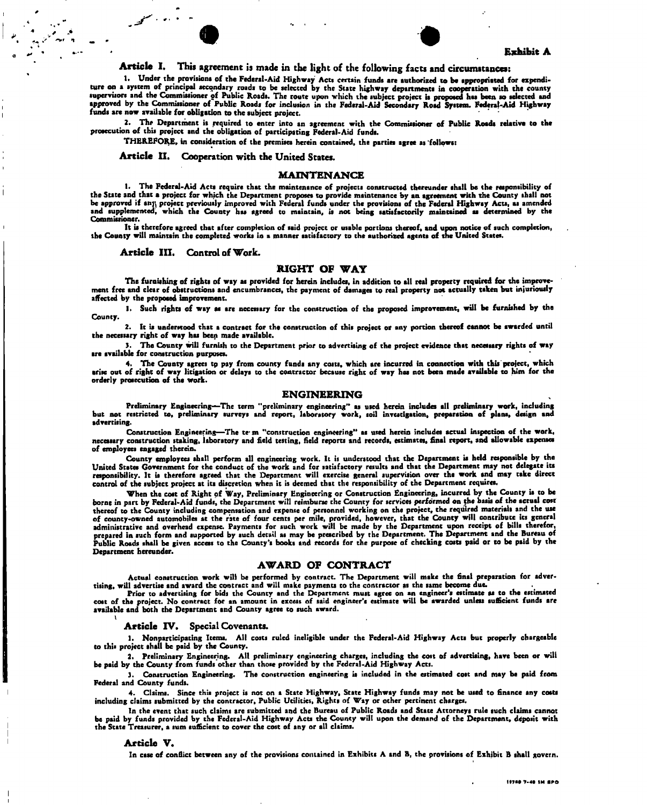

Exhibit A

## Article I. This agreement is made in the light of the following facts and circumstances:

1. Under the provisions of the Federal-Aid Highway Acts certain funds are authorized to be appropriated for expenditure on a system of principal secondary roads to be selected by the State highway departments in cooperation with the county supervisors and the Commissioner of Public Roads. The route upon which the subject project is proposed has been so selected and approved by the Commissioner of Public Roads for inclusion in the Federal-Aid Secondary Road System. Federal-Aid Highway funds are now available for obligation to the subject project.

2. The Department is required to enter into an agreement with the Commissioner of Public Roads relative to the prosecution of this project and the obligation of participating Federal-Aid funds.

THEREFORE, in consideration of the premises herein contained, the parties agree as 'follows:

Article II. Cooperation with the United States.

#### MAINTENANCE

1. The Federal-Aid Acts require that the maintenance of projects constructed thereunder shall be the responsibility of the State and that a project for which the Department proposes to provide maintenance by an agreement with the County shall not be approved if any, project previously improved with Federal funds under the provisions of the Federal Highway Acts, as amended and supplemented, which the County has agreed to maintain, is not being satisfactorily maintained aa determined by the Commissioner.

It is therefore agreed that after completion of said project or usable portions thereof, and upon notice of such completion, the County will maintain the completed works in a manner satisfactory to the authorised agents of the United States.

Article III. Control of Work.

#### RIGHT OF WAY

The furnishing of rights of way as provided for herein includes, in addition to all real property required for the improvement free and clear of obstructions and encumbrances, the payment of damages to real property noc actually taken but injuriously affected by the proposed improvement.

1. Such rights of way as are necessary for the construction of the proposed improvement, will be furnished by the County.

2. It is understood that a contract for the construction of this project or any portion thereof cannot be awarded until the necessary right of way has been made available.

3. The County will furnish to the Department prior to advertising of the project evidence that necessary rights of way are available for construction purposes.

4. The County agrees tp pay from county funds any costs, which are incurred in connection with this project, which arise out of right of way litigation or delays to the contractor because right of way has not been made available to him for the orderly prosecution of the work.

#### ENGINEERING

Preliminary Engineering—The term "preliminary engineering" as used herein includes all preliminary work, including<br>but not restricted to, preliminary surveys and report, laboratory work, soil investigation, preparation of advertising.

Construction Engineering—The te-m "construction engineering" as used herein includes actual inspection of the work, necessary construction staking, laboratory and field testing, field reports and records, estimates, final report, and allowable expenses of employees engaged therein.

County employees shall perform all engineering work. It is understood that the Department is held responsible by the United States Government for the conduct of the work and for satisfactory results and that the Department may not delegate its responsibility. It is therefore agreed that the Department will exercise general supervision over the work and may take direct control of the subject project at its discretion when it is deemed that the responsibility of the Department requires.

When the cost of Right of Way, Preliminary Engineering or Construction Engineering, incurred by the County is to be borne in part by Federal-Aid funds, the Department will reimburse the County for services performed on the basis of the actual cost thereof to the County including compensation and expense of personnel working on the project, the required materials and the use of county-owned automobiles at the rate of four cents per mile, provided, however, that the County will contribute its general<br>preparative and overhead expense. Payments for such work will be made by the Department upon re Department hereunder.

#### AWARD OF CONTRACT

Actual construction work will be performed by contract. The Department will make the final preparation for advertising, will advertise and award the contract and will make payments to the contractor as the same become due.

Prior to advertising for bids the County and the Department must agree on an engineer's estimate as to the estimated cost of the project. No contract for an amount in excess of said engineer's estimate will be awarded unless sufficient funds are<br>available and both the Department and County agree to such award.<br>\

#### Article IV. Special Covenants.

1. Nonparticipating Items. All costs ruled ineligible under the Federal-Aid Highway Acts but properly chargeable to this project shall be paid by the County.

2. Preliminary Engineering. All preliminary engineering charges, including the cost of advertising, have been or will be paid by the County from funds other than those provided by the Federal-Aid Highway Acts.

3. Construction Engineering. The construction engineering is included in the estimated cost and may be paid from Federal and County funds.

4. Claims. Since this project is not on a State Highway, State Highway funds may not be used to finance any coats including claims submitted by the contractor, Public Utilities, Rights of Way or other pertinent charges.

In the event that such claims are submitted and the Bureau of Public Roads and State Attorneys rule such claims cannot be paid by funds provided by the Federal-Aid Highway Acta the County will upon the demand of the Department, deposit with the State Treasurer, a sum sufficient to cover the cost of any or all claims.

#### Article V.

In case of conflict between any of the provisions contained in Exhibits A and B, the provisions of Exhibit B shall govern.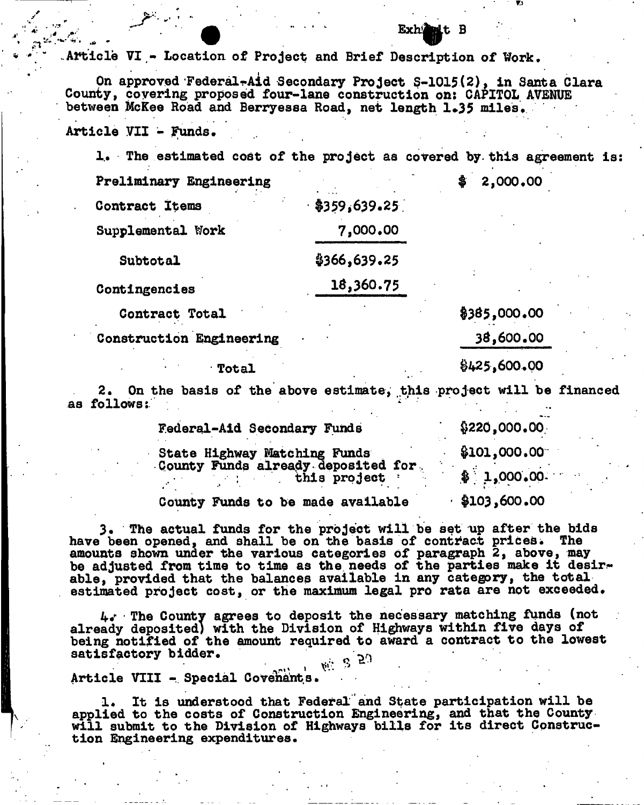**Article VI - Location of Project and Brief Description of Work.** 

**On approved FederalrAid Secondary Project S-1015(2), in Santa Clara County, covering proposed four-lane construction on: CAPITOL AVENUE between McKee Road and Berryessa Road, net length 1»35 miles\*** 

**Article VII - Funds. .** 

**1. The estimated cost of the project as covered by this agreement is:** 

| rreliminary Engineering |                  |
|-------------------------|------------------|
| <b>Contract Items</b>   | $-$ \$359,639.25 |
| Supplemental Work       | 7,000.00         |
| Subtotal                | \$366,639.25     |
| Contingencies           | 18,360.75        |

**Contract Total \$385,000.00** 

**Construction Engineering 3&,600.00** 

# $\frac{1}{2}$  Total  $\frac{1}{25}$ ,600.00

**Preliminary Engineering \$ 2,000\*00** 

**2.** On the basis of the above estimate, this project will be financed **as follows:** 

| Federal-Aid Secondary Funds                                        | \$220,000.00<br>\$101,000.00 |  |
|--------------------------------------------------------------------|------------------------------|--|
| State Highway Matching Funds<br>County Funds already deposited for |                              |  |
| this project '                                                     | \$1,000,00.                  |  |
| County Funds to be made available                                  | \$103,600.00                 |  |

**3. The actual funds for the project will be set up after the bids**  have been opened, and shall be on the basis of contract prices. **amounts shown under the various categories of paragraph 2, above, may be adjusted from time to time as the needs of the parties make it desirable, provided that the balances available in any category, the total estimated project cost, or the maximum legal pro rata are not exceeded.** 

**The County agrees to deposit the necessary matching funds (not already deposited) with the Division of Highways within five days of being notified of the amount required to award a contract to the lowest satisfactory bidder. ^** 

\* » *°* 

**Article VIII - Special Covenants.** 

**1. It is understood that Federal and State participation will be applied to the costs of Construction Engineering, and that the County will submit to the Division of Highways bills for its direct Construction Engineering expenditures.** 

#### **Exh<sup>2</sup> alt** B **f**